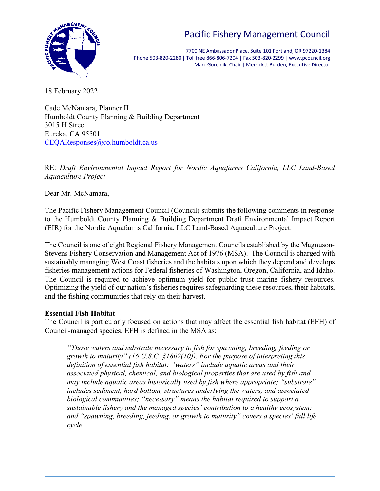

7700 NE Ambassador Place, Suite 101 Portland, OR 97220-1384 Phone 503-820-2280 | Toll free 866-806-7204 | Fax 503-820-2299 | www.pcouncil.org Marc Gorelnik, Chair | Merrick J. Burden, Executive Director

18 February 2022

Cade McNamara, Planner II Humboldt County Planning & Building Department 3015 H Street Eureka, CA 95501 [CEQAResponses@co.humboldt.ca.us](mailto:CEQAResponses@co.humboldt.ca.us)

RE: *Draft Environmental Impact Report for Nordic Aquafarms California, LLC Land-Based Aquaculture Project*

Dear Mr. McNamara,

The Pacific Fishery Management Council (Council) submits the following comments in response to the Humboldt County Planning & Building Department Draft Environmental Impact Report (EIR) for the Nordic Aquafarms California, LLC Land-Based Aquaculture Project.

The Council is one of eight Regional Fishery Management Councils established by the Magnuson-Stevens Fishery Conservation and Management Act of 1976 (MSA). The Council is charged with sustainably managing West Coast fisheries and the habitats upon which they depend and develops fisheries management actions for Federal fisheries of Washington, Oregon, California, and Idaho. The Council is required to achieve optimum yield for public trust marine fishery resources. Optimizing the yield of our nation's fisheries requires safeguarding these resources, their habitats, and the fishing communities that rely on their harvest.

# **Essential Fish Habitat**

The Council is particularly focused on actions that may affect the essential fish habitat (EFH) of Council-managed species. EFH is defined in the MSA as:

*"Those waters and substrate necessary to fish for spawning, breeding, feeding or growth to maturity" (16 U.S.C. §1802(10)). For the purpose of interpreting this definition of essential fish habitat: "waters" include aquatic areas and their associated physical, chemical, and biological properties that are used by fish and may include aquatic areas historically used by fish where appropriate; "substrate" includes sediment, hard bottom, structures underlying the waters, and associated biological communities; "necessary" means the habitat required to support a sustainable fishery and the managed species' contribution to a healthy ecosystem; and "spawning, breeding, feeding, or growth to maturity" covers a species' full life cycle.*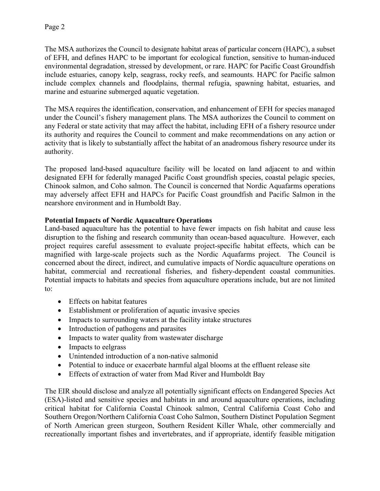The MSA authorizes the Council to designate habitat areas of particular concern (HAPC), a subset of EFH, and defines HAPC to be important for ecological function, sensitive to human-induced environmental degradation, stressed by development, or rare. HAPC for Pacific Coast Groundfish include estuaries, canopy kelp, seagrass, rocky reefs, and seamounts. HAPC for Pacific salmon include complex channels and floodplains, thermal refugia, spawning habitat, estuaries, and marine and estuarine submerged aquatic vegetation.

The MSA requires the identification, conservation, and enhancement of EFH for species managed under the Council's fishery management plans. The MSA authorizes the Council to comment on any Federal or state activity that may affect the habitat, including EFH of a fishery resource under its authority and requires the Council to comment and make recommendations on any action or activity that is likely to substantially affect the habitat of an anadromous fishery resource under its authority.

The proposed land-based aquaculture facility will be located on land adjacent to and within designated EFH for federally managed Pacific Coast groundfish species, coastal pelagic species, Chinook salmon, and Coho salmon. The Council is concerned that Nordic Aquafarms operations may adversely affect EFH and HAPCs for Pacific Coast groundfish and Pacific Salmon in the nearshore environment and in Humboldt Bay.

# **Potential Impacts of Nordic Aquaculture Operations**

Land-based aquaculture has the potential to have fewer impacts on fish habitat and cause less disruption to the fishing and research community than ocean-based aquaculture. However, each project requires careful assessment to evaluate project-specific habitat effects, which can be magnified with large-scale projects such as the Nordic Aquafarms project. The Council is concerned about the direct, indirect, and cumulative impacts of Nordic aquaculture operations on habitat, commercial and recreational fisheries, and fishery-dependent coastal communities. Potential impacts to habitats and species from aquaculture operations include, but are not limited to:

- Effects on habitat features
- Establishment or proliferation of aquatic invasive species
- Impacts to surrounding waters at the facility intake structures
- Introduction of pathogens and parasites
- Impacts to water quality from wastewater discharge
- Impacts to eelgrass
- Unintended introduction of a non-native salmonid
- Potential to induce or exacerbate harmful algal blooms at the effluent release site
- Effects of extraction of water from Mad River and Humboldt Bay

The EIR should disclose and analyze all potentially significant effects on Endangered Species Act (ESA)-listed and sensitive species and habitats in and around aquaculture operations, including critical habitat for California Coastal Chinook salmon, Central California Coast Coho and Southern Oregon/Northern California Coast Coho Salmon, Southern Distinct Population Segment of North American green sturgeon, Southern Resident Killer Whale, other commercially and recreationally important fishes and invertebrates, and if appropriate, identify feasible mitigation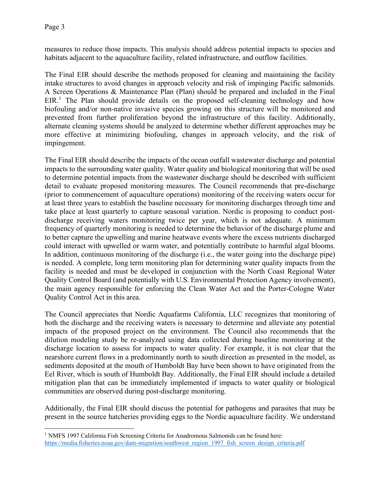measures to reduce those impacts. This analysis should address potential impacts to species and habitats adjacent to the aquaculture facility, related infrastructure, and outflow facilities.

The Final EIR should describe the methods proposed for cleaning and maintaining the facility intake structures to avoid changes in approach velocity and risk of impinging Pacific salmonids. A Screen Operations & Maintenance Plan (Plan) should be prepared and included in the Final  $EIR<sup>1</sup>$  $EIR<sup>1</sup>$  $EIR<sup>1</sup>$ . The Plan should provide details on the proposed self-cleaning technology and how biofouling and/or non-native invasive species growing on this structure will be monitored and prevented from further proliferation beyond the infrastructure of this facility. Additionally, alternate cleaning systems should be analyzed to determine whether different approaches may be more effective at minimizing biofouling, changes in approach velocity, and the risk of impingement.

The Final EIR should describe the impacts of the ocean outfall wastewater discharge and potential impacts to the surrounding water quality. Water quality and biological monitoring that will be used to determine potential impacts from the wastewater discharge should be described with sufficient detail to evaluate proposed monitoring measures. The Council recommends that pre-discharge (prior to commencement of aquaculture operations) monitoring of the receiving waters occur for at least three years to establish the baseline necessary for monitoring discharges through time and take place at least quarterly to capture seasonal variation. Nordic is proposing to conduct postdischarge receiving waters monitoring twice per year, which is not adequate. A minimum frequency of quarterly monitoring is needed to determine the behavior of the discharge plume and to better capture the upwelling and marine heatwave events where the excess nutrients discharged could interact with upwelled or warm water, and potentially contribute to harmful algal blooms. In addition, continuous monitoring of the discharge (i.e., the water going into the discharge pipe) is needed. A complete, long term monitoring plan for determining water quality impacts from the facility is needed and must be developed in conjunction with the North Coast Regional Water Quality Control Board (and potentially with U.S. Environmental Protection Agency involvement), the main agency responsible for enforcing the Clean Water Act and the Porter-Cologne Water Quality Control Act in this area.

The Council appreciates that Nordic Aquafarms California, LLC recognizes that monitoring of both the discharge and the receiving waters is necessary to determine and alleviate any potential impacts of the proposed project on the environment. The Council also recommends that the dilution modeling study be re-analyzed using data collected during baseline monitoring at the discharge location to assess for impacts to water quality. For example, it is not clear that the nearshore current flows in a predominantly north to south direction as presented in the model, as sediments deposited at the mouth of Humboldt Bay have been shown to have originated from the Eel River, which is south of Humboldt Bay. Additionally, the Final EIR should include a detailed mitigation plan that can be immediately implemented if impacts to water quality or biological communities are observed during post-discharge monitoring.

Additionally, the Final EIR should discuss the potential for pathogens and parasites that may be present in the source hatcheries providing eggs to the Nordic aquaculture facility. We understand

<span id="page-2-0"></span><sup>&</sup>lt;sup>1</sup> NMFS 1997 California Fish Screening Criteria for Anadromous Salmonids can be found here: [https://media.fisheries.noaa.gov/dam-migration/southwest\\_region\\_1997\\_fish\\_screen\\_design\\_criteria.pdf](https://media.fisheries.noaa.gov/dam-migration/southwest_region_1997_fish_screen_design_criteria.pdf)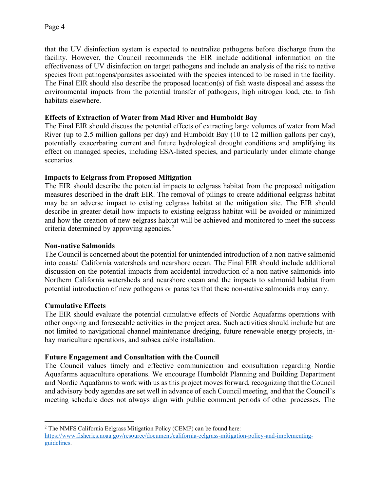that the UV disinfection system is expected to neutralize pathogens before discharge from the facility. However, the Council recommends the EIR include additional information on the effectiveness of UV disinfection on target pathogens and include an analysis of the risk to native species from pathogens/parasites associated with the species intended to be raised in the facility. The Final EIR should also describe the proposed location(s) of fish waste disposal and assess the environmental impacts from the potential transfer of pathogens, high nitrogen load, etc. to fish habitats elsewhere.

# **Effects of Extraction of Water from Mad River and Humboldt Bay**

The Final EIR should discuss the potential effects of extracting large volumes of water from Mad River (up to 2.5 million gallons per day) and Humboldt Bay (10 to 12 million gallons per day), potentially exacerbating current and future hydrological drought conditions and amplifying its effect on managed species, including ESA-listed species, and particularly under climate change scenarios.

## **Impacts to Eelgrass from Proposed Mitigation**

The EIR should describe the potential impacts to eelgrass habitat from the proposed mitigation measures described in the draft EIR. The removal of pilings to create additional eelgrass habitat may be an adverse impact to existing eelgrass habitat at the mitigation site. The EIR should describe in greater detail how impacts to existing eelgrass habitat will be avoided or minimized and how the creation of new eelgrass habitat will be achieved and monitored to meet the success criteria determined by approving agencies.<sup>[2](#page-3-0)</sup>

## **Non-native Salmonids**

The Council is concerned about the potential for unintended introduction of a non-native salmonid into coastal California watersheds and nearshore ocean. The Final EIR should include additional discussion on the potential impacts from accidental introduction of a non-native salmonids into Northern California watersheds and nearshore ocean and the impacts to salmonid habitat from potential introduction of new pathogens or parasites that these non-native salmonids may carry.

## **Cumulative Effects**

The EIR should evaluate the potential cumulative effects of Nordic Aquafarms operations with other ongoing and foreseeable activities in the project area. Such activities should include but are not limited to navigational channel maintenance dredging, future renewable energy projects, inbay mariculture operations, and subsea cable installation.

## **Future Engagement and Consultation with the Council**

The Council values timely and effective communication and consultation regarding Nordic Aquafarms aquaculture operations. We encourage Humboldt Planning and Building Department and Nordic Aquafarms to work with us as this project moves forward, recognizing that the Council and advisory body agendas are set well in advance of each Council meeting, and that the Council's meeting schedule does not always align with public comment periods of other processes. The

<span id="page-3-0"></span> $2$  The NMFS California Eelgrass Mitigation Policy (CEMP) can be found here: [https://www.fisheries.noaa.gov/resource/document/california-eelgrass-mitigation-policy-and-implementing](https://www.fisheries.noaa.gov/resource/document/california-eelgrass-mitigation-policy-and-implementing-guidelines)[guidelines.](https://www.fisheries.noaa.gov/resource/document/california-eelgrass-mitigation-policy-and-implementing-guidelines)